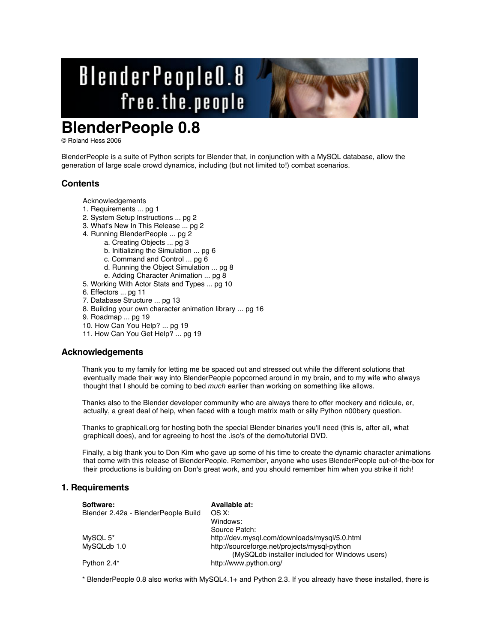# BlenderPeople0.8 free.the.people

# **BlenderPeople 0.8**

© Roland Hess 2006

BlenderPeople is a suite of Python scripts for Blender that, in conjunction with a MySQL database, allow the generation of large scale crowd dynamics, including (but not limited to!) combat scenarios.

# **Contents**

Acknowledgements

- 1. Requirements ... pg 1
- 2. System Setup Instructions ... pg 2
- 3. What's New In This Release ... pg 2
- 4. Running BlenderPeople ... pg 2
	- a. Creating Objects ... pg 3
	- b. Initializing the Simulation ... pg 6
	- c. Command and Control ... pg 6
	- d. Running the Object Simulation ... pg 8
	- e. Adding Character Animation ... pg 8
- 5. Working With Actor Stats and Types ... pg 10
- 6. Effectors ... pg 11
- 7. Database Structure ... pg 13
- 8. Building your own character animation library ... pg 16
- 9. Roadmap ... pg 19
- 10. How Can You Help? ... pg 19
- 11. How Can You Get Help? ... pg 19

# **Acknowledgements**

Thank you to my family for letting me be spaced out and stressed out while the different solutions that eventually made their way into BlenderPeople popcorned around in my brain, and to my wife who always thought that I should be coming to bed *much* earlier than working on something like allows.

Thanks also to the Blender developer community who are always there to offer mockery and ridicule, er, actually, a great deal of help, when faced with a tough matrix math or silly Python n00bery question.

Thanks to graphicall.org for hosting both the special Blender binaries you'll need (this is, after all, what graphicall does), and for agreeing to host the .iso's of the demo/tutorial DVD.

Finally, a big thank you to Don Kim who gave up some of his time to create the dynamic character animations that come with this release of BlenderPeople. Remember, anyone who uses BlenderPeople out-of-the-box for their productions is building on Don's great work, and you should remember him when you strike it rich!

# **1. Requirements**

| Software:                           | Available at:                                                                                  |
|-------------------------------------|------------------------------------------------------------------------------------------------|
| Blender 2.42a - BlenderPeople Build | OS X:                                                                                          |
|                                     | Windows:                                                                                       |
|                                     | Source Patch:                                                                                  |
| MySQL 5*                            | http://dev.mysql.com/downloads/mysql/5.0.html                                                  |
| MySQLdb 1.0                         | http://sourceforge.net/projects/mysgl-python<br>(MySQLdb installer included for Windows users) |
| Python 2.4*                         | http://www.python.org/                                                                         |

\* BlenderPeople 0.8 also works with MySQL4.1+ and Python 2.3. If you already have these installed, there is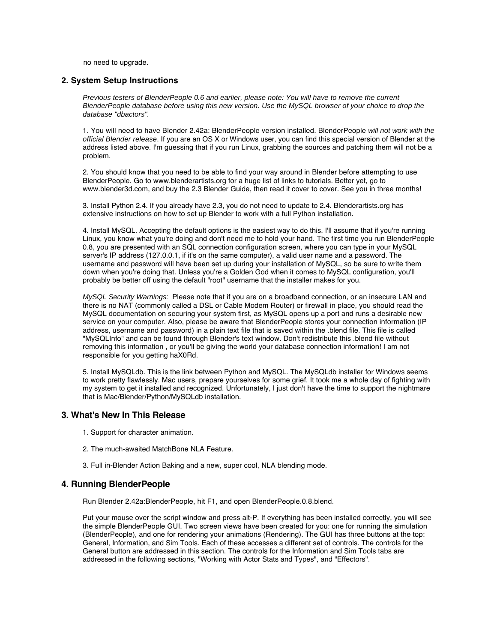no need to upgrade.

# **2. System Setup Instructions**

Previous testers of BlenderPeople 0.6 and earlier, please note: You will have to remove the current BlenderPeople database before using this new version. Use the MySQL browser of your choice to drop the database "dbactors".

1. You will need to have Blender 2.42a: BlenderPeople version installed. BlenderPeople will not work with the official Blender release. If you are an OS X or Windows user, you can find this special version of Blender at the address listed above. I'm guessing that if you run Linux, grabbing the sources and patching them will not be a problem.

2. You should know that you need to be able to find your way around in Blender before attempting to use BlenderPeople. Go to www.blenderartists.org for a huge list of links to tutorials. Better yet, go to www.blender3d.com, and buy the 2.3 Blender Guide, then read it cover to cover. See you in three months!

3. Install Python 2.4. If you already have 2.3, you do not need to update to 2.4. Blenderartists.org has extensive instructions on how to set up Blender to work with a full Python installation.

4. Install MySQL. Accepting the default options is the easiest way to do this. I'll assume that if you're running Linux, you know what you're doing and don't need me to hold your hand. The first time you run BlenderPeople 0.8, you are presented with an SQL connection configuration screen, where you can type in your MySQL server's IP address (127.0.0.1, if it's on the same computer), a valid user name and a password. The username and password will have been set up during your installation of MySQL, so be sure to write them down when you're doing that. Unless you're a Golden God when it comes to MySQL configuration, you'll probably be better off using the default "root" username that the installer makes for you.

MySQL Security Warnings: Please note that if you are on a broadband connection, or an insecure LAN and there is no NAT (commonly called a DSL or Cable Modem Router) or firewall in place, you should read the MySQL documentation on securing your system first, as MySQL opens up a port and runs a desirable new service on your computer. Also, please be aware that BlenderPeople stores your connection information (IP address, username and password) in a plain text file that is saved within the .blend file. This file is called "MySQLInfo" and can be found through Blender's text window. Don't redistribute this .blend file without removing this information , or you'll be giving the world your database connection information! I am not responsible for you getting haX0Rd.

5. Install MySQLdb. This is the link between Python and MySQL. The MySQLdb installer for Windows seems to work pretty flawlessly. Mac users, prepare yourselves for some grief. It took me a whole day of fighting with my system to get it installed and recognized. Unfortunately, I just don't have the time to support the nightmare that is Mac/Blender/Python/MySQLdb installation.

# **3. What's New In This Release**

- 1. Support for character animation.
- 2. The much-awaited MatchBone NLA Feature.
- 3. Full in-Blender Action Baking and a new, super cool, NLA blending mode.

# **4. Running BlenderPeople**

Run Blender 2.42a:BlenderPeople, hit F1, and open BlenderPeople.0.8.blend.

Put your mouse over the script window and press alt-P. If everything has been installed correctly, you will see the simple BlenderPeople GUI. Two screen views have been created for you: one for running the simulation (BlenderPeople), and one for rendering your animations (Rendering). The GUI has three buttons at the top: General, Information, and Sim Tools. Each of these accesses a different set of controls. The controls for the General button are addressed in this section. The controls for the Information and Sim Tools tabs are addressed in the following sections, "Working with Actor Stats and Types", and "Effectors".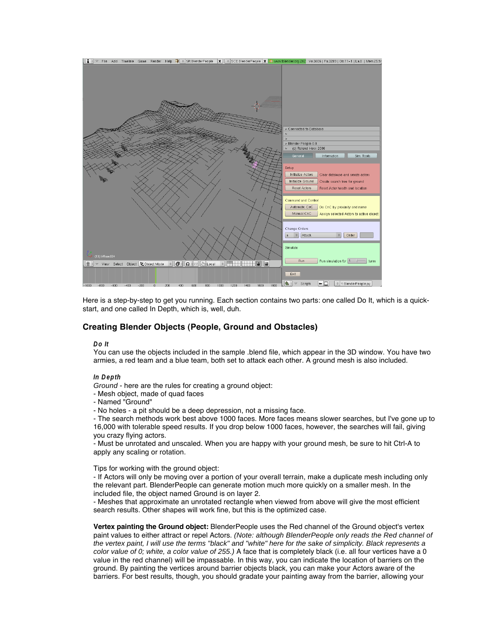

Here is a step-by-step to get you running. Each section contains two parts: one called Do It, which is a quickstart, and one called In Depth, which is, well, duh.

# **Creating Blender Objects (People, Ground and Obstacles)**

#### **Do It**

You can use the objects included in the sample .blend file, which appear in the 3D window. You have two armies, a red team and a blue team, both set to attack each other. A ground mesh is also included.

#### **In Depth**

Ground - here are the rules for creating a ground object:

- Mesh object, made of quad faces
- Named "Ground"

- No holes - a pit should be a deep depression, not a missing face.

- The search methods work best above 1000 faces. More faces means slower searches, but I've gone up to 16,000 with tolerable speed results. If you drop below 1000 faces, however, the searches will fail, giving you crazy flying actors.

- Must be unrotated and unscaled. When you are happy with your ground mesh, be sure to hit Ctrl-A to apply any scaling or rotation.

Tips for working with the ground object:

- If Actors will only be moving over a portion of your overall terrain, make a duplicate mesh including only the relevant part. BlenderPeople can generate motion much more quickly on a smaller mesh. In the included file, the object named Ground is on layer 2.

- Meshes that approximate an unrotated rectangle when viewed from above will give the most efficient search results. Other shapes will work fine, but this is the optimized case.

**Vertex painting the Ground object:** BlenderPeople uses the Red channel of the Ground object's vertex paint values to either attract or repel Actors. (Note: although BlenderPeople only reads the Red channel of the vertex paint, I will use the terms "black" and "white" here for the sake of simplicity. Black represents a color value of 0; white, a color value of 255.) A face that is completely black (i.e. all four vertices have a 0 value in the red channel) will be impassable. In this way, you can indicate the location of barriers on the ground. By painting the vertices around barrier objects black, you can make your Actors aware of the barriers. For best results, though, you should gradate your painting away from the barrier, allowing your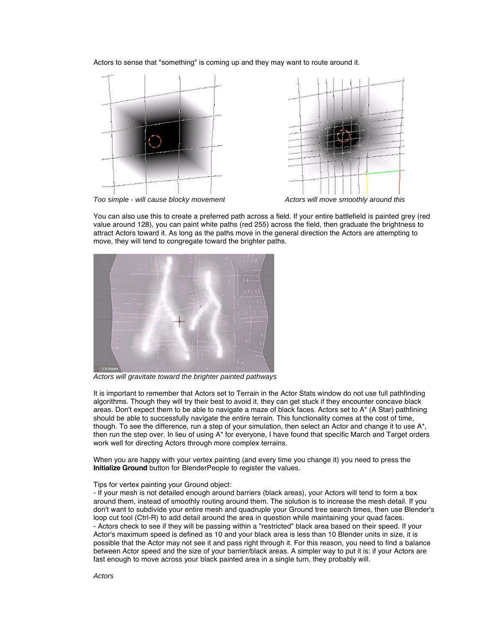Actors to sense that "something" is coming up and they may want to route around it.



Too simple - will cause blocky movement The Matter Actors will move smoothly around this



You can also use this to create a preferred path across a field. If your entire battlefield is painted grey (red value around 128), you can paint white paths (red 255) across the field, then graduate the brightness to attract Actors toward it. As long as the paths move in the general direction the Actors are attempting to move, they will tend to congregate toward the brighter paths.



Actors will gravitate toward the brighter painted pathways

It is important to remember that Actors set to Terrain in the Actor Stats window do not use full pathfinding algorithms. Though they will try their best to avoid it, they can get stuck if they encounter concave black areas. Don't expect them to be able to navigate a maze of black faces. Actors set to A\* (A Star) pathfining should be able to successfully navigate the entire terrain. This functionality comes at the cost of time, though. To see the difference, run a step of your simulation, then select an Actor and change it to use A\*, then run the step over. In lieu of using A\* for everyone, I have found that specific March and Target orders work well for directing Actors through more complex terrains.

When you are happy with your vertex painting (and every time you change it) you need to press the **Initialize Ground** button for BlenderPeople to register the values.

#### Tips for vertex painting your Ground object:

- If your mesh is not detailed enough around barriers (black areas), your Actors will tend to form a box around them, instead of smoothly routing around them. The solution is to increase the mesh detail. If you don't want to subdivide your entire mesh and quadruple your Ground tree search times, then use Blender's loop cut tool (Ctrl-R) to add detail around the area in question while maintaining your quad faces. - Actors check to see if they will be passing within a "restricted" black area based on their speed. If your Actor's maximum speed is defined as 10 and your black area is less than 10 Blender units in size, it is possible that the Actor may not see it and pass right through it. For this reason, you need to find a balance between Actor speed and the size of your barrier/black areas. A simpler way to put it is: if your Actors are fast enough to move across your black painted area in a single turn, they probably will.

Actors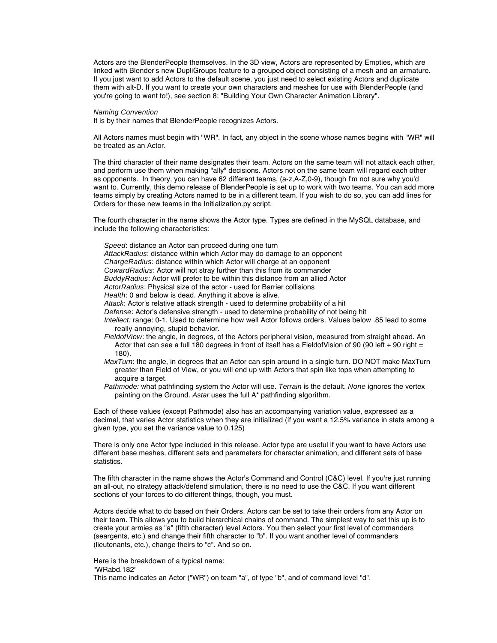Actors are the BlenderPeople themselves. In the 3D view, Actors are represented by Empties, which are linked with Blender's new DupliGroups feature to a grouped object consisting of a mesh and an armature. If you just want to add Actors to the default scene, you just need to select existing Actors and duplicate them with alt-D. If you want to create your own characters and meshes for use with BlenderPeople (and you're going to want to!), see section 8: "Building Your Own Character Animation Library".

Naming Convention

It is by their names that BlenderPeople recognizes Actors.

All Actors names must begin with "WR". In fact, any object in the scene whose names begins with "WR" will be treated as an Actor.

The third character of their name designates their team. Actors on the same team will not attack each other, and perform use them when making "ally" decisions. Actors not on the same team will regard each other as opponents. In theory, you can have 62 different teams, (a-z,A-Z,0-9), though I'm not sure why you'd want to. Currently, this demo release of BlenderPeople is set up to work with two teams. You can add more teams simply by creating Actors named to be in a different team. If you wish to do so, you can add lines for Orders for these new teams in the Initialization.py script.

The fourth character in the name shows the Actor type. Types are defined in the MySQL database, and include the following characteristics:

Speed: distance an Actor can proceed during one turn AttackRadius: distance within which Actor may do damage to an opponent ChargeRadius: distance within which Actor will charge at an opponent CowardRadius: Actor will not stray further than this from its commander BuddyRadius: Actor will prefer to be within this distance from an allied Actor ActorRadius: Physical size of the actor - used for Barrier collisions Health: 0 and below is dead. Anything it above is alive. Attack: Actor's relative attack strength - used to determine probability of a hit Defense: Actor's defensive strength - used to determine probability of not being hit Intellect: range: 0-1. Used to determine how well Actor follows orders. Values below .85 lead to some really annoying, stupid behavior. FieldofView: the angle, in degrees, of the Actors peripheral vision, measured from straight ahead. An Actor that can see a full 180 degrees in front of itself has a FieldofVision of 90 (90 left + 90 right = 180). MaxTurn: the angle, in degrees that an Actor can spin around in a single turn. DO NOT make MaxTurn

greater than Field of View, or you will end up with Actors that spin like tops when attempting to acquire a target.

Pathmode: what pathfinding system the Actor will use. Terrain is the default. None ignores the vertex painting on the Ground. Astar uses the full A\* pathfinding algorithm.

Each of these values (except Pathmode) also has an accompanying variation value, expressed as a decimal, that varies Actor statistics when they are initialized (if you want a 12.5% variance in stats among a given type, you set the variance value to 0.125)

There is only one Actor type included in this release. Actor type are useful if you want to have Actors use different base meshes, different sets and parameters for character animation, and different sets of base statistics.

The fifth character in the name shows the Actor's Command and Control (C&C) level. If you're just running an all-out, no strategy attack/defend simulation, there is no need to use the C&C. If you want different sections of your forces to do different things, though, you must.

Actors decide what to do based on their Orders. Actors can be set to take their orders from any Actor on their team. This allows you to build hierarchical chains of command. The simplest way to set this up is to create your armies as "a" (fifth character) level Actors. You then select your first level of commanders (seargents, etc.) and change their fifth character to "b". If you want another level of commanders (lieutenants, etc.), change theirs to "c". And so on.

Here is the breakdown of a typical name: "WRabd.182"

This name indicates an Actor ("WR") on team "a", of type "b", and of command level "d".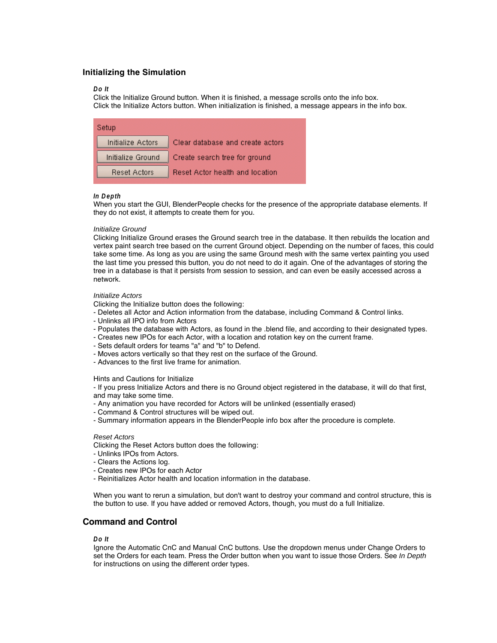# **Initializing the Simulation**

#### **Do It**

Click the Initialize Ground button. When it is finished, a message scrolls onto the info box. Click the Initialize Actors button. When initialization is finished, a message appears in the info box.

| Setup             |                                        |
|-------------------|----------------------------------------|
| Initialize Actors | Clear database and create actors       |
| Initialize Ground | Create search tree for ground          |
| Reset Actors      | <b>Reset Actor health and location</b> |

#### **In Depth**

When you start the GUI, BlenderPeople checks for the presence of the appropriate database elements. If they do not exist, it attempts to create them for you.

#### Initialize Ground

Clicking Initialize Ground erases the Ground search tree in the database. It then rebuilds the location and vertex paint search tree based on the current Ground object. Depending on the number of faces, this could take some time. As long as you are using the same Ground mesh with the same vertex painting you used the last time you pressed this button, you do not need to do it again. One of the advantages of storing the tree in a database is that it persists from session to session, and can even be easily accessed across a network.

# Initialize Actors

Clicking the Initialize button does the following:

- Deletes all Actor and Action information from the database, including Command & Control links.
- Unlinks all IPO info from Actors
- Populates the database with Actors, as found in the .blend file, and according to their designated types.
- Creates new IPOs for each Actor, with a location and rotation key on the current frame.
- Sets default orders for teams "a" and "b" to Defend.
- Moves actors vertically so that they rest on the surface of the Ground.
- Advances to the first live frame for animation.

#### Hints and Cautions for Initialize

- If you press Initialize Actors and there is no Ground object registered in the database, it will do that first, and may take some time.

- Any animation you have recorded for Actors will be unlinked (essentially erased)
- Command & Control structures will be wiped out.
- Summary information appears in the BlenderPeople info box after the procedure is complete.

#### Reset Actors

Clicking the Reset Actors button does the following:

- Unlinks IPOs from Actors.
- Clears the Actions log.
- Creates new IPOs for each Actor
- Reinitializes Actor health and location information in the database.

When you want to rerun a simulation, but don't want to destroy your command and control structure, this is the button to use. If you have added or removed Actors, though, you must do a full Initialize.

# **Command and Control**

# **Do It**

Ignore the Automatic CnC and Manual CnC buttons. Use the dropdown menus under Change Orders to set the Orders for each team. Press the Order button when you want to issue those Orders. See In Depth for instructions on using the different order types.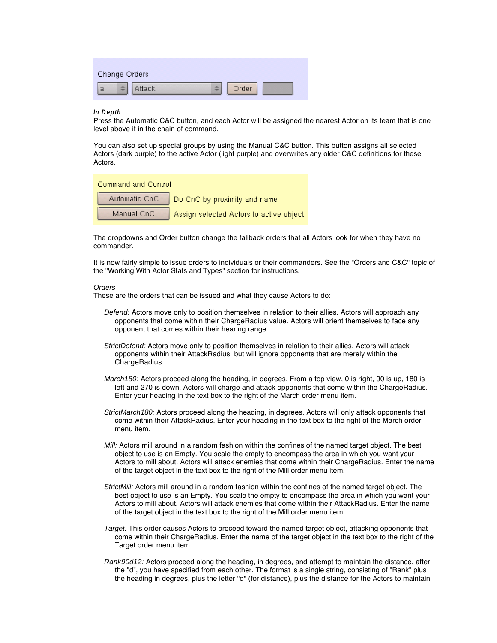| Change Orders |        |       |  |
|---------------|--------|-------|--|
| а             | Attack | Order |  |

#### **In Depth**

Press the Automatic C&C button, and each Actor will be assigned the nearest Actor on its team that is one level above it in the chain of command.

You can also set up special groups by using the Manual C&C button. This button assigns all selected Actors (dark purple) to the active Actor (light purple) and overwrites any older C&C definitions for these Actors.

**Command and Control** 

|            | Automatic CnC Do CnC by proximity and name |
|------------|--------------------------------------------|
| Manual CnC | Assign selected Actors to active object    |

The dropdowns and Order button change the fallback orders that all Actors look for when they have no commander.

It is now fairly simple to issue orders to individuals or their commanders. See the "Orders and C&C" topic of the "Working With Actor Stats and Types" section for instructions.

#### **Orders**

These are the orders that can be issued and what they cause Actors to do:

- Defend: Actors move only to position themselves in relation to their allies. Actors will approach any opponents that come within their ChargeRadius value. Actors will orient themselves to face any opponent that comes within their hearing range.
- StrictDefend: Actors move only to position themselves in relation to their allies. Actors will attack opponents within their AttackRadius, but will ignore opponents that are merely within the ChargeRadius.
- March180: Actors proceed along the heading, in degrees. From a top view, 0 is right, 90 is up, 180 is left and 270 is down. Actors will charge and attack opponents that come within the ChargeRadius. Enter your heading in the text box to the right of the March order menu item.
- StrictMarch180: Actors proceed along the heading, in degrees. Actors will only attack opponents that come within their AttackRadius. Enter your heading in the text box to the right of the March order menu item.
- Mill: Actors mill around in a random fashion within the confines of the named target object. The best object to use is an Empty. You scale the empty to encompass the area in which you want your Actors to mill about. Actors will attack enemies that come within their ChargeRadius. Enter the name of the target object in the text box to the right of the Mill order menu item.
- StrictMill: Actors mill around in a random fashion within the confines of the named target object. The best object to use is an Empty. You scale the empty to encompass the area in which you want your Actors to mill about. Actors will attack enemies that come within their AttackRadius. Enter the name of the target object in the text box to the right of the Mill order menu item.
- Target: This order causes Actors to proceed toward the named target object, attacking opponents that come within their ChargeRadius. Enter the name of the target object in the text box to the right of the Target order menu item.
- Rank90d12: Actors proceed along the heading, in degrees, and attempt to maintain the distance, after the "d", you have specified from each other. The format is a single string, consisting of "Rank" plus the heading in degrees, plus the letter "d" (for distance), plus the distance for the Actors to maintain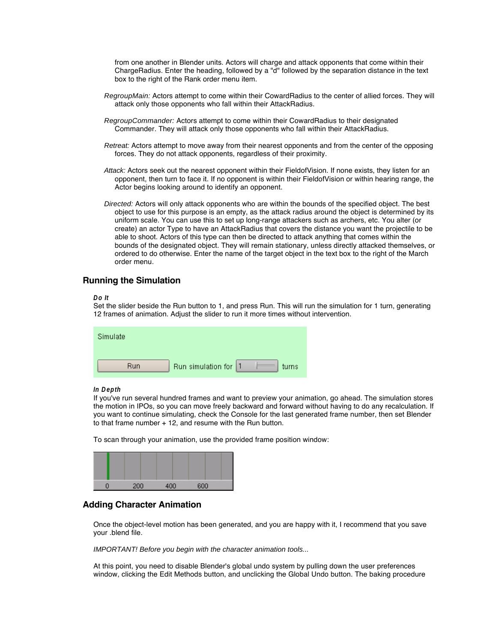from one another in Blender units. Actors will charge and attack opponents that come within their ChargeRadius. Enter the heading, followed by a "d" followed by the separation distance in the text box to the right of the Rank order menu item.

- RegroupMain: Actors attempt to come within their CowardRadius to the center of allied forces. They will attack only those opponents who fall within their AttackRadius.
- RegroupCommander: Actors attempt to come within their CowardRadius to their designated Commander. They will attack only those opponents who fall within their AttackRadius.
- Retreat: Actors attempt to move away from their nearest opponents and from the center of the opposing forces. They do not attack opponents, regardless of their proximity.
- Attack: Actors seek out the nearest opponent within their FieldofVision. If none exists, they listen for an opponent, then turn to face it. If no opponent is within their FieldofVision or within hearing range, the Actor begins looking around to identify an opponent.
- Directed: Actors will only attack opponents who are within the bounds of the specified object. The best object to use for this purpose is an empty, as the attack radius around the object is determined by its uniform scale. You can use this to set up long-range attackers such as archers, etc. You alter (or create) an actor Type to have an AttackRadius that covers the distance you want the projectile to be able to shoot. Actors of this type can then be directed to attack anything that comes within the bounds of the designated object. They will remain stationary, unless directly attacked themselves, or ordered to do otherwise. Enter the name of the target object in the text box to the right of the March order menu.

# **Running the Simulation**

#### **Do It**

Set the slider beside the Run button to 1, and press Run. This will run the simulation for 1 turn, generating 12 frames of animation. Adjust the slider to run it more times without intervention.

| Simulate   |                      |       |
|------------|----------------------|-------|
|            |                      |       |
| <b>Run</b> | Run simulation for 1 | turns |

#### **In Depth**

If you've run several hundred frames and want to preview your animation, go ahead. The simulation stores the motion in IPOs, so you can move freely backward and forward without having to do any recalculation. If you want to continue simulating, check the Console for the last generated frame number, then set Blender to that frame number + 12, and resume with the Run button.

To scan through your animation, use the provided frame position window:



# **Adding Character Animation**

Once the object-level motion has been generated, and you are happy with it, I recommend that you save your .blend file.

IMPORTANT! Before you begin with the character animation tools...

At this point, you need to disable Blender's global undo system by pulling down the user preferences window, clicking the Edit Methods button, and unclicking the Global Undo button. The baking procedure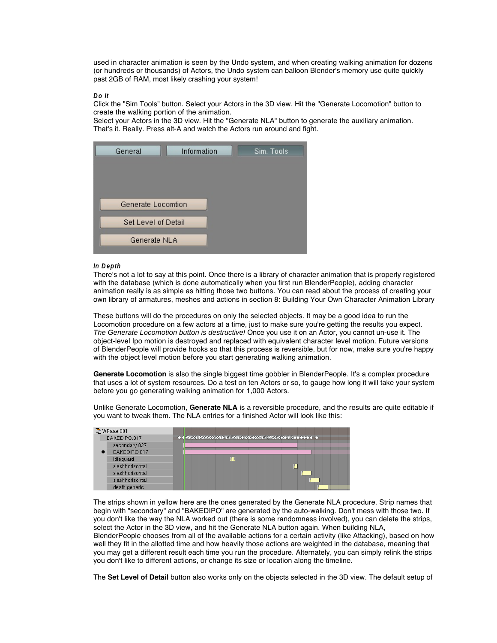used in character animation is seen by the Undo system, and when creating walking animation for dozens (or hundreds or thousands) of Actors, the Undo system can balloon Blender's memory use quite quickly past 2GB of RAM, most likely crashing your system!

#### **Do It**

Click the "Sim Tools" button. Select your Actors in the 3D view. Hit the "Generate Locomotion" button to create the walking portion of the animation.

Select your Actors in the 3D view. Hit the "Generate NLA" button to generate the auxiliary animation. That's it. Really. Press alt-A and watch the Actors run around and fight.



#### **In Depth**

There's not a lot to say at this point. Once there is a library of character animation that is properly registered with the database (which is done automatically when you first run BlenderPeople), adding character animation really is as simple as hitting those two buttons. You can read about the process of creating your own library of armatures, meshes and actions in section 8: Building Your Own Character Animation Library

These buttons will do the procedures on only the selected objects. It may be a good idea to run the Locomotion procedure on a few actors at a time, just to make sure you're getting the results you expect. The Generate Locomotion button is destructive! Once you use it on an Actor, you cannot un-use it. The object-level Ipo motion is destroyed and replaced with equivalent character level motion. Future versions of BlenderPeople will provide hooks so that this process is reversible, but for now, make sure you're happy with the object level motion before you start generating walking animation.

**Generate Locomotion** is also the single biggest time gobbler in BlenderPeople. It's a complex procedure that uses a lot of system resources. Do a test on ten Actors or so, to gauge how long it will take your system before you go generating walking animation for 1,000 Actors.

Unlike Generate Locomotion, **Generate NLA** is a reversible procedure, and the results are quite editable if you want to tweak them. The NLA entries for a finished Actor will look like this:

| 군 WRaaa.001     |  |
|-----------------|--|
| BAKEDIPO.017    |  |
| secondary.027   |  |
| BAKEDIPO.017    |  |
| idleguard       |  |
| slashhorizontal |  |
| slashhorizontal |  |
| slashhorizontal |  |
| death.generic   |  |

The strips shown in yellow here are the ones generated by the Generate NLA procedure. Strip names that begin with "secondary" and "BAKEDIPO" are generated by the auto-walking. Don't mess with those two. If you don't like the way the NLA worked out (there is some randomness involved), you can delete the strips, select the Actor in the 3D view, and hit the Generate NLA button again. When building NLA, BlenderPeople chooses from all of the available actions for a certain activity (like Attacking), based on how well they fit in the allotted time and how heavily those actions are weighted in the database, meaning that you may get a different result each time you run the procedure. Alternately, you can simply relink the strips you don't like to different actions, or change its size or location along the timeline.

The **Set Level of Detail** button also works only on the objects selected in the 3D view. The default setup of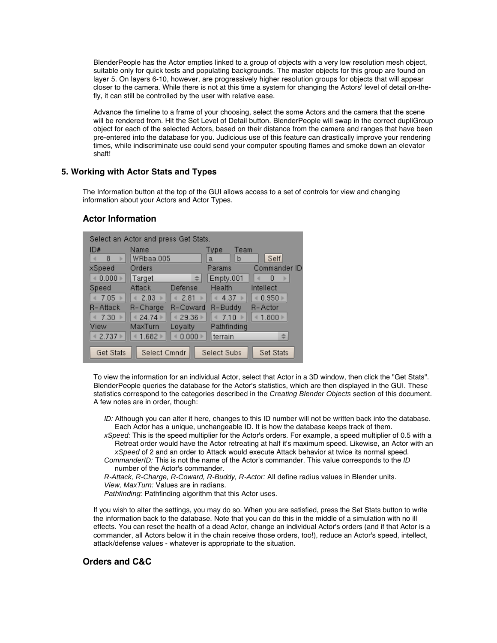BlenderPeople has the Actor empties linked to a group of objects with a very low resolution mesh object, suitable only for quick tests and populating backgrounds. The master objects for this group are found on layer 5. On layers 6-10, however, are progressively higher resolution groups for objects that will appear closer to the camera. While there is not at this time a system for changing the Actors' level of detail on-thefly, it can still be controlled by the user with relative ease.

Advance the timeline to a frame of your choosing, select the some Actors and the camera that the scene will be rendered from. Hit the Set Level of Detail button. BlenderPeople will swap in the correct dupliGroup object for each of the selected Actors, based on their distance from the camera and ranges that have been pre-entered into the database for you. Judicious use of this feature can drastically improve your rendering times, while indiscriminate use could send your computer spouting flames and smoke down an elevator shaft!

# **5. Working with Actor Stats and Types**

The Information button at the top of the GUI allows access to a set of controls for view and changing information about your Actors and Actor Types.

# **Actor Information**

| Select an Actor and press Get Stats. |              |          |              |              |
|--------------------------------------|--------------|----------|--------------|--------------|
| ID#                                  | Name         |          | Team<br>Type |              |
| 8                                    | WRbaa.005    |          | b<br>a       | Self         |
| xSpeed                               | Orders       |          | Params       | Commander ID |
| 0.000                                | Target       | ÷        | Empty.001    | n            |
| Speed                                | Attack       | Defense  | Health       | Intellect    |
| 7.05                                 | 2.03         | 2.81     | 4.37         | 0.950        |
| R-Attack                             | R-Charge     | R-Coward | R-Buddy      | R-Actor      |
| 7.30                                 | 24.741       | 29.36    | 7.10         | 1.800        |
| View                                 | MaxTurn      | Loyalty  | Pathfinding  |              |
| 42.737                               | 1.682        | 0.000    | terrain      | alla.<br>÷   |
| <b>Get Stats</b>                     | Select Cmndr |          | Select Subs  | Set Stats    |

To view the information for an individual Actor, select that Actor in a 3D window, then click the "Get Stats". BlenderPeople queries the database for the Actor's statistics, which are then displayed in the GUI. These statistics correspond to the categories described in the Creating Blender Objects section of this document. A few notes are in order, though:

- ID: Although you can alter it here, changes to this ID number will not be written back into the database. Each Actor has a unique, unchangeable ID. It is how the database keeps track of them.
- xSpeed: This is the speed multiplier for the Actor's orders. For example, a speed multiplier of 0.5 with a Retreat order would have the Actor retreating at half it's maximum speed. Likewise, an Actor with an xSpeed of 2 and an order to Attack would execute Attack behavior at twice its normal speed.
- CommanderID: This is not the name of the Actor's commander. This value corresponds to the ID number of the Actor's commander.

R-Attack, R-Charge, R-Coward, R-Buddy, R-Actor: All define radius values in Blender units. View, MaxTurn: Values are in radians.

Pathfinding: Pathfinding algorithm that this Actor uses.

If you wish to alter the settings, you may do so. When you are satisfied, press the Set Stats button to write the information back to the database. Note that you can do this in the middle of a simulation with no ill effects. You can reset the health of a dead Actor, change an individual Actor's orders (and if that Actor is a commander, all Actors below it in the chain receive those orders, too!), reduce an Actor's speed, intellect, attack/defense values - whatever is appropriate to the situation.

# **Orders and C&C**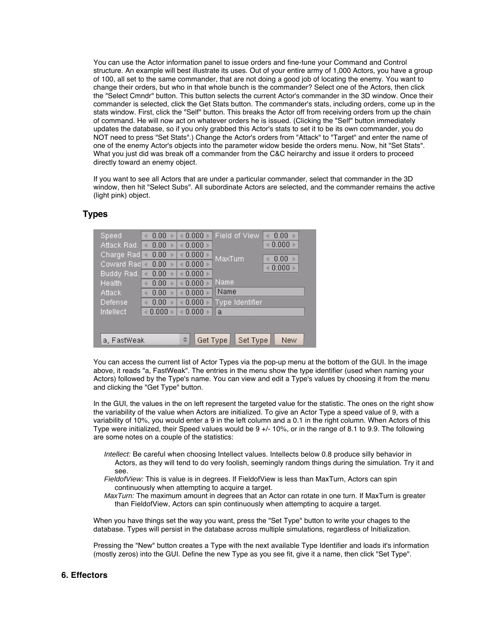You can use the Actor information panel to issue orders and fine-tune your Command and Control structure. An example will best illustrate its uses. Out of your entire army of 1,000 Actors, you have a group of 100, all set to the same commander, that are not doing a good job of locating the enemy. You want to change their orders, but who in that whole bunch is the commander? Select one of the Actors, then click the "Select Cmndr" button. This button selects the current Actor's commander in the 3D window. Once their commander is selected, click the Get Stats button. The commander's stats, including orders, come up in the stats window. First, click the "Self" button. This breaks the Actor off from receiving orders from up the chain of command. He will now act on whatever orders he is issued. (Clicking the "Self" button immediately updates the database, so if you only grabbed this Actor's stats to set it to be its own commander, you do NOT need to press "Set Stats".) Change the Actor's orders from "Attack" to "Target" and enter the name of one of the enemy Actor's objects into the parameter widow beside the orders menu. Now, hit "Set Stats". What you just did was break off a commander from the C&C heirarchy and issue it orders to proceed directly toward an enemy object.

If you want to see all Actors that are under a particular commander, select that commander in the 3D window, then hit "Select Subs". All subordinate Actors are selected, and the commander remains the active (light pink) object.

| Speed       | 0.00  | 0.000     | Field of View   | 0.00  |
|-------------|-------|-----------|-----------------|-------|
| Attack Rad. | 0.00  | 0.000     |                 | 0.000 |
| Charge Rad  | 0.00  | 0.000     | MaxTurn         | 0.00  |
| Coward Rad  | 0.00  | 0.000     |                 | 0.000 |
| Buddy Rad.  | 0.00  | $0.000 +$ |                 |       |
| Health      | 0.00  | 0.000     | Name            |       |
| Attack      | 0.00  | 0.000     | Name            |       |
| Defense     | 0.00  | 0.000     | Type Identifier |       |
| Intellect   | 0.000 | 0.000     | a               |       |
|             |       |           |                 |       |
|             |       |           |                 |       |
| a, FastWeak |       | Get Type  | Set Type        | New   |

# **Types**

You can access the current list of Actor Types via the pop-up menu at the bottom of the GUI. In the image above, it reads "a, FastWeak". The entries in the menu show the type identifier (used when naming your Actors) followed by the Type's name. You can view and edit a Type's values by choosing it from the menu and clicking the "Get Type" button.

In the GUI, the values in the on left represent the targeted value for the statistic. The ones on the right show the variability of the value when Actors are initialized. To give an Actor Type a speed value of 9, with a variability of 10%, you would enter a 9 in the left column and a 0.1 in the right column. When Actors of this Type were initialized, their Speed values would be 9 +/- 10%, or in the range of 8.1 to 9.9. The following are some notes on a couple of the statistics:

- Intellect: Be careful when choosing Intellect values. Intellects below 0.8 produce silly behavior in Actors, as they will tend to do very foolish, seemingly random things during the simulation. Try it and see.
- FieldofView: This is value is in degrees. If FieldofView is less than MaxTurn, Actors can spin continuously when attempting to acquire a target.
- MaxTurn: The maximum amount in degrees that an Actor can rotate in one turn. If MaxTurn is greater than FieldofView, Actors can spin continuously when attempting to acquire a target.

When you have things set the way you want, press the "Set Type" button to write your chages to the database. Types will persist in the database across multiple simulations, regardless of Initialization.

Pressing the "New" button creates a Type with the next available Type Identifier and loads it's information (mostly zeros) into the GUI. Define the new Type as you see fit, give it a name, then click "Set Type".

# **6. Effectors**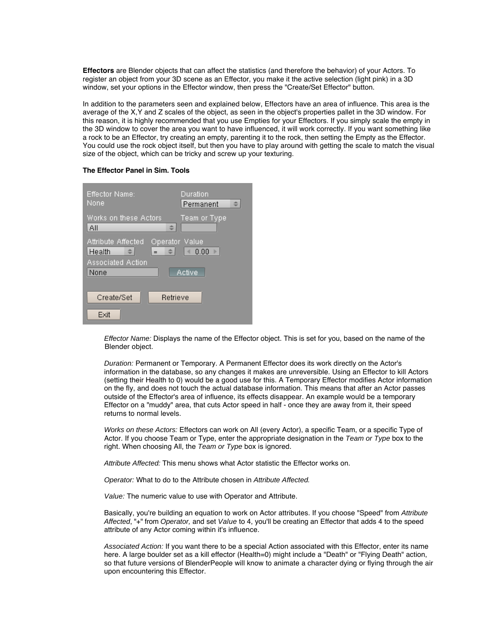**Effectors** are Blender objects that can affect the statistics (and therefore the behavior) of your Actors. To register an object from your 3D scene as an Effector, you make it the active selection (light pink) in a 3D window, set your options in the Effector window, then press the "Create/Set Effector" button.

In addition to the parameters seen and explained below, Effectors have an area of influence. This area is the average of the X,Y and Z scales of the object, as seen in the object's properties pallet in the 3D window. For this reason, it is highly recommended that you use Empties for your Effectors. If you simply scale the empty in the 3D window to cover the area you want to have influenced, it will work correctly. If you want something like a rock to be an Effector, try creating an empty, parenting it to the rock, then setting the Empty as the Effector. You could use the rock object itself, but then you have to play around with getting the scale to match the visual size of the object, which can be tricky and screw up your texturing.

# **The Effector Panel in Sim. Tools**

| Effector Name:<br>None                                                                    | Duration<br>  Permanent |
|-------------------------------------------------------------------------------------------|-------------------------|
| Works on these Actors<br>All                                                              | Team or Type            |
| Attribute Affected<br>Operator Value<br>Health<br>$=$<br><b>Associated Action</b><br>None | 0.00<br>Active          |
| Create/Set<br>Retrieve                                                                    |                         |
| Exit                                                                                      |                         |

Effector Name: Displays the name of the Effector object. This is set for you, based on the name of the Blender object.

Duration: Permanent or Temporary. A Permanent Effector does its work directly on the Actor's information in the database, so any changes it makes are unreversible. Using an Effector to kill Actors (setting their Health to 0) would be a good use for this. A Temporary Effector modifies Actor information on the fly, and does not touch the actual database information. This means that after an Actor passes outside of the Effector's area of influence, its effects disappear. An example would be a temporary Effector on a "muddy" area, that cuts Actor speed in half - once they are away from it, their speed returns to normal levels.

Works on these Actors: Effectors can work on All (every Actor), a specific Team, or a specific Type of Actor. If you choose Team or Type, enter the appropriate designation in the Team or Type box to the right. When choosing All, the Team or Type box is ignored.

Attribute Affected: This menu shows what Actor statistic the Effector works on.

Operator: What to do to the Attribute chosen in Attribute Affected.

Value: The numeric value to use with Operator and Attribute.

Basically, you're building an equation to work on Actor attributes. If you choose "Speed" from Attribute Affected, "+" from Operator, and set Value to 4, you'll be creating an Effector that adds 4 to the speed attribute of any Actor coming within it's influence.

Associated Action: If you want there to be a special Action associated with this Effector, enter its name here. A large boulder set as a kill effector (Health=0) might include a "Death" or "Flying Death" action, so that future versions of BlenderPeople will know to animate a character dying or flying through the air upon encountering this Effector.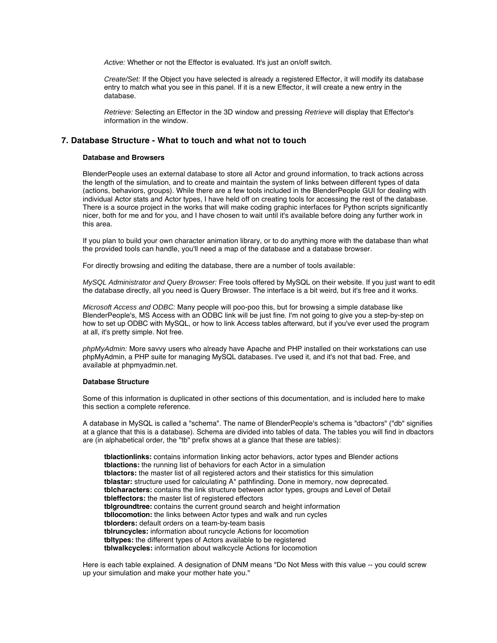Active: Whether or not the Effector is evaluated. It's just an on/off switch.

Create/Set: If the Object you have selected is already a registered Effector, it will modify its database entry to match what you see in this panel. If it is a new Effector, it will create a new entry in the database.

Retrieve: Selecting an Effector in the 3D window and pressing Retrieve will display that Effector's information in the window.

# **7. Database Structure - What to touch and what not to touch**

#### **Database and Browsers**

BlenderPeople uses an external database to store all Actor and ground information, to track actions across the length of the simulation, and to create and maintain the system of links between different types of data (actions, behaviors, groups). While there are a few tools included in the BlenderPeople GUI for dealing with individual Actor stats and Actor types, I have held off on creating tools for accessing the rest of the database. There is a source project in the works that will make coding graphic interfaces for Python scripts significantly nicer, both for me and for you, and I have chosen to wait until it's available before doing any further work in this area.

If you plan to build your own character animation library, or to do anything more with the database than what the provided tools can handle, you'll need a map of the database and a database browser.

For directly browsing and editing the database, there are a number of tools available:

MySQL Administrator and Query Browser: Free tools offered by MySQL on their website. If you just want to edit the database directly, all you need is Query Browser. The interface is a bit weird, but it's free and it works.

Microsoft Access and ODBC: Many people will poo-poo this, but for browsing a simple database like BlenderPeople's, MS Access with an ODBC link will be just fine. I'm not going to give you a step-by-step on how to set up ODBC with MySQL, or how to link Access tables afterward, but if you've ever used the program at all, it's pretty simple. Not free.

phpMyAdmin: More savvy users who already have Apache and PHP installed on their workstations can use phpMyAdmin, a PHP suite for managing MySQL databases. I've used it, and it's not that bad. Free, and available at phpmyadmin.net.

#### **Database Structure**

Some of this information is duplicated in other sections of this documentation, and is included here to make this section a complete reference.

A database in MySQL is called a "schema". The name of BlenderPeople's schema is "dbactors" ("db" signifies at a glance that this is a database). Schema are divided into tables of data. The tables you will find in dbactors are (in alphabetical order, the "tb" prefix shows at a glance that these are tables):

**tblactionlinks:** contains information linking actor behaviors, actor types and Blender actions **tblactions:** the running list of behaviors for each Actor in a simulation **tblactors:** the master list of all registered actors and their statistics for this simulation **tblastar:** structure used for calculating A\* pathfinding. Done in memory, now deprecated. **tblcharacters:** contains the link structure between actor types, groups and Level of Detail **tbleffectors:** the master list of registered effectors **tblgroundtree:** contains the current ground search and height information **tbllocomotion:** the links between Actor types and walk and run cycles **tblorders:** default orders on a team-by-team basis **tblruncycles:** information about runcycle Actions for locomotion **tbltypes:** the different types of Actors available to be registered **tblwalkcycles:** information about walkcycle Actions for locomotion

Here is each table explained. A designation of DNM means "Do Not Mess with this value -- you could screw up your simulation and make your mother hate you."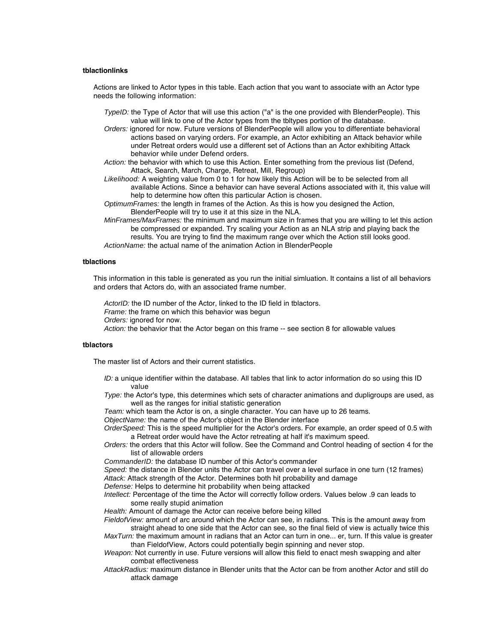#### **tblactionlinks**

Actions are linked to Actor types in this table. Each action that you want to associate with an Actor type needs the following information:

- TypeID: the Type of Actor that will use this action ("a" is the one provided with BlenderPeople). This value will link to one of the Actor types from the tbltypes portion of the database.
- Orders: ignored for now. Future versions of BlenderPeople will allow you to differentiate behavioral actions based on varying orders. For example, an Actor exhibiting an Attack behavior while under Retreat orders would use a different set of Actions than an Actor exhibiting Attack behavior while under Defend orders.
- Action: the behavior with which to use this Action. Enter something from the previous list (Defend, Attack, Search, March, Charge, Retreat, Mill, Regroup)
- Likelihood: A weighting value from 0 to 1 for how likely this Action will be to be selected from all available Actions. Since a behavior can have several Actions associated with it, this value will help to determine how often this particular Action is chosen.
- OptimumFrames: the length in frames of the Action. As this is how you designed the Action, BlenderPeople will try to use it at this size in the NLA.
- MinFrames/MaxFrames: the minimum and maximum size in frames that you are willing to let this action be compressed or expanded. Try scaling your Action as an NLA strip and playing back the results. You are trying to find the maximum range over which the Action still looks good. ActionName: the actual name of the animation Action in BlenderPeople

#### **tblactions**

This information in this table is generated as you run the initial simluation. It contains a list of all behaviors and orders that Actors do, with an associated frame number.

ActorID: the ID number of the Actor, linked to the ID field in tblactors. Frame: the frame on which this behavior was begun Orders: janored for now. Action: the behavior that the Actor began on this frame -- see section 8 for allowable values

#### **tblactors**

The master list of Actors and their current statistics.

- ID: a unique identifier within the database. All tables that link to actor information do so using this ID value
- Type: the Actor's type, this determines which sets of character animations and dupligroups are used, as well as the ranges for initial statistic generation
- Team: which team the Actor is on, a single character. You can have up to 26 teams.

ObjectName: the name of the Actor's object in the Blender interface

OrderSpeed: This is the speed multiplier for the Actor's orders. For example, an order speed of 0.5 with a Retreat order would have the Actor retreating at half it's maximum speed.

Orders: the orders that this Actor will follow. See the Command and Control heading of section 4 for the list of allowable orders

CommanderID: the database ID number of this Actor's commander

Speed: the distance in Blender units the Actor can travel over a level surface in one turn (12 frames) Attack: Attack strength of the Actor. Determines both hit probability and damage

Defense: Helps to determine hit probability when being attacked

Intellect: Percentage of the time the Actor will correctly follow orders. Values below .9 can leads to some really stupid animation

Health: Amount of damage the Actor can receive before being killed

FieldofView: amount of arc around which the Actor can see, in radians. This is the amount away from straight ahead to one side that the Actor can see, so the final field of view is actually twice this

MaxTurn: the maximum amount in radians that an Actor can turn in one... er, turn. If this value is greater than FieldofView, Actors could potentially begin spinning and never stop.

- Weapon: Not currently in use. Future versions will allow this field to enact mesh swapping and alter combat effectiveness
- AttackRadius: maximum distance in Blender units that the Actor can be from another Actor and still do attack damage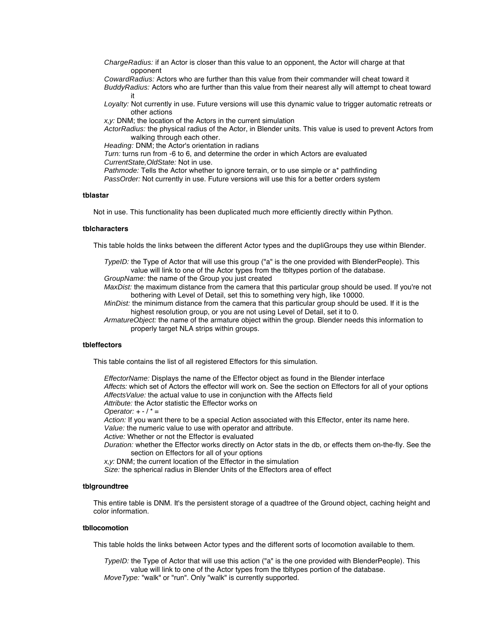ChargeRadius: if an Actor is closer than this value to an opponent, the Actor will charge at that opponent

CowardRadius: Actors who are further than this value from their commander will cheat toward it BuddyRadius: Actors who are further than this value from their nearest ally will attempt to cheat toward it

Loyalty: Not currently in use. Future versions will use this dynamic value to trigger automatic retreats or other actions

x,y: DNM; the location of the Actors in the current simulation

ActorRadius: the physical radius of the Actor, in Blender units. This value is used to prevent Actors from walking through each other.

Heading: DNM; the Actor's orientation in radians

Turn: turns run from -6 to 6, and determine the order in which Actors are evaluated

CurrentState,OldState: Not in use.

Pathmode: Tells the Actor whether to ignore terrain, or to use simple or a\* pathfinding

PassOrder: Not currently in use. Future versions will use this for a better orders system

#### **tblastar**

Not in use. This functionality has been duplicated much more efficiently directly within Python.

#### **tblcharacters**

This table holds the links between the different Actor types and the dupliGroups they use within Blender.

TypeID: the Type of Actor that will use this group ("a" is the one provided with BlenderPeople). This value will link to one of the Actor types from the tbltypes portion of the database.

GroupName: the name of the Group you just created

MaxDist: the maximum distance from the camera that this particular group should be used. If you're not bothering with Level of Detail, set this to something very high, like 10000.

MinDist: the minimum distance from the camera that this particular group should be used. If it is the highest resolution group, or you are not using Level of Detail, set it to 0.

ArmatureObject: the name of the armature object within the group. Blender needs this information to properly target NLA strips within groups.

#### **tbleffectors**

This table contains the list of all registered Effectors for this simulation.

EffectorName: Displays the name of the Effector object as found in the Blender interface Affects: which set of Actors the effector will work on. See the section on Effectors for all of your options AffectsValue: the actual value to use in conjunction with the Affects field Attribute: the Actor statistic the Effector works on

Operator:  $+ - / * =$ 

Action: If you want there to be a special Action associated with this Effector, enter its name here. Value: the numeric value to use with operator and attribute.

Active: Whether or not the Effector is evaluated

Duration: whether the Effector works directly on Actor stats in the db, or effects them on-the-fly. See the section on Effectors for all of your options

x,y: DNM; the current location of the Effector in the simulation

Size: the spherical radius in Blender Units of the Effectors area of effect

#### **tblgroundtree**

This entire table is DNM. It's the persistent storage of a quadtree of the Ground object, caching height and color information.

#### **tbllocomotion**

This table holds the links between Actor types and the different sorts of locomotion available to them.

TypeID: the Type of Actor that will use this action ("a" is the one provided with BlenderPeople). This value will link to one of the Actor types from the tbltypes portion of the database. MoveType: "walk" or "run". Only "walk" is currently supported.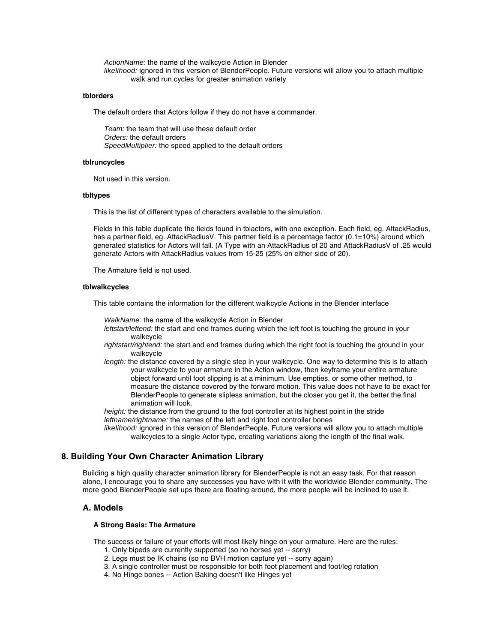ActionName: the name of the walkcycle Action in Blender likelihood: ignored in this version of BlenderPeople. Future versions will allow you to attach multiple walk and run cycles for greater animation variety

#### **tblorders**

The default orders that Actors follow if they do not have a commander.

Team: the team that will use these default order Orders: the default orders SpeedMultiplier: the speed applied to the default orders

#### **tblruncycles**

Not used in this version.

#### **tbltypes**

This is the list of different types of characters available to the simulation.

Fields in this table duplicate the fields found in tblactors, with one exception. Each field, eg. AttackRadius, has a partner field, eg. AttackRadiusV. This partner field is a percentage factor (0.1=10%) around which generated statistics for Actors will fall. (A Type with an AttackRadius of 20 and AttackRadiusV of .25 would generate Actors with AttackRadius values from 15-25 (25% on either side of 20).

The Armature field is not used.

#### **tblwalkcycles**

This table contains the information for the different walkcycle Actions in the Blender interface

WalkName: the name of the walkcycle Action in Blender

- leftstart/leftend: the start and end frames during which the left foot is touching the ground in your walkcycle
- rightstart/rightend: the start and end frames during which the right foot is touching the ground in your walkcycle
- length: the distance covered by a single step in your walkcycle. One way to determine this is to attach your walkcycle to your armature in the Action window, then keyframe your entire armature object forward until foot slipping is at a minimum. Use empties, or some other method, to measure the distance covered by the forward motion. This value does not have to be exact for BlenderPeople to generate slipless animation, but the closer you get it, the better the final animation will look.

height: the distance from the ground to the foot controller at its highest point in the stride leftname/rightname: the names of the left and right foot controller bones

likelihood: ignored in this version of BlenderPeople. Future versions will allow you to attach multiple walkcycles to a single Actor type, creating variations along the length of the final walk.

# **8. Building Your Own Character Animation Library**

Building a high quality character animation library for BlenderPeople is not an easy task. For that reason alone, I encourage you to share any successes you have with it with the worldwide Blender community. The more good BlenderPeople set ups there are floating around, the more people will be inclined to use it.

# **A. Models**

#### **A Strong Basis: The Armature**

The success or failure of your efforts will most likely hinge on your armature. Here are the rules:

- 1. Only bipeds are currently supported (so no horses yet -- sorry)
- 2. Legs must be IK chains (so no BVH motion capture yet -- sorry again)
- 3. A single controller must be responsible for both foot placement and foot/leg rotation
- 4. No Hinge bones -- Action Baking doesn't like Hinges yet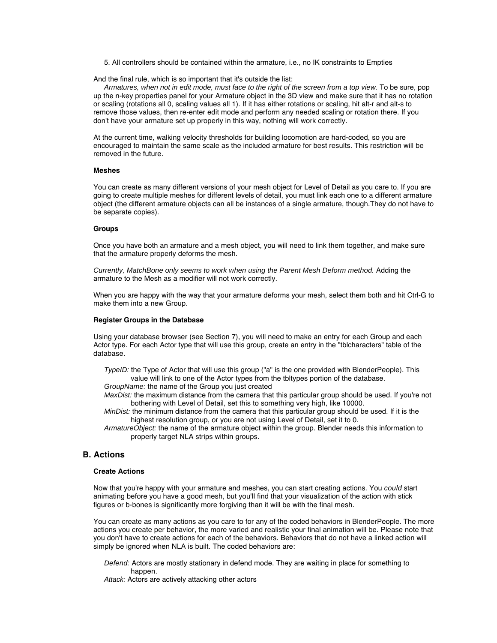5. All controllers should be contained within the armature, i.e., no IK constraints to Empties

And the final rule, which is so important that it's outside the list:

Armatures, when not in edit mode, must face to the right of the screen from a top view. To be sure, pop up the n-key properties panel for your Armature object in the 3D view and make sure that it has no rotation or scaling (rotations all 0, scaling values all 1). If it has either rotations or scaling, hit alt-r and alt-s to remove those values, then re-enter edit mode and perform any needed scaling or rotation there. If you don't have your armature set up properly in this way, nothing will work correctly.

At the current time, walking velocity thresholds for building locomotion are hard-coded, so you are encouraged to maintain the same scale as the included armature for best results. This restriction will be removed in the future.

#### **Meshes**

You can create as many different versions of your mesh object for Level of Detail as you care to. If you are going to create multiple meshes for different levels of detail, you must link each one to a different armature object (the different armature objects can all be instances of a single armature, though.They do not have to be separate copies).

#### **Groups**

Once you have both an armature and a mesh object, you will need to link them together, and make sure that the armature properly deforms the mesh.

Currently, MatchBone only seems to work when using the Parent Mesh Deform method. Adding the armature to the Mesh as a modifier will not work correctly.

When you are happy with the way that your armature deforms your mesh, select them both and hit Ctrl-G to make them into a new Group.

#### **Register Groups in the Database**

Using your database browser (see Section 7), you will need to make an entry for each Group and each Actor type. For each Actor type that will use this group, create an entry in the "tblcharacters" table of the database.

TypeID: the Type of Actor that will use this group ("a" is the one provided with BlenderPeople). This value will link to one of the Actor types from the tbltypes portion of the database.

GroupName: the name of the Group you just created

MaxDist: the maximum distance from the camera that this particular group should be used. If you're not bothering with Level of Detail, set this to something very high, like 10000.

MinDist: the minimum distance from the camera that this particular group should be used. If it is the highest resolution group, or you are not using Level of Detail, set it to 0.

ArmatureObject: the name of the armature object within the group. Blender needs this information to properly target NLA strips within groups.

# **B. Actions**

#### **Create Actions**

Now that you're happy with your armature and meshes, you can start creating actions. You could start animating before you have a good mesh, but you'll find that your visualization of the action with stick figures or b-bones is significantly more forgiving than it will be with the final mesh.

You can create as many actions as you care to for any of the coded behaviors in BlenderPeople. The more actions you create per behavior, the more varied and realistic your final animation will be. Please note that you don't have to create actions for each of the behaviors. Behaviors that do not have a linked action will simply be ignored when NLA is built. The coded behaviors are:

Defend: Actors are mostly stationary in defend mode. They are waiting in place for something to happen.

Attack: Actors are actively attacking other actors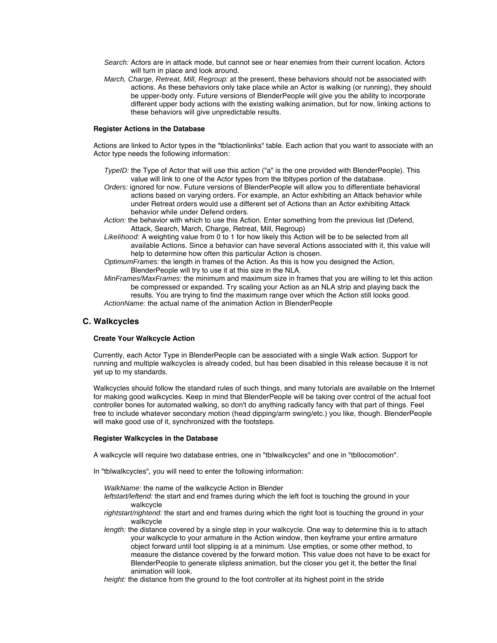- Search: Actors are in attack mode, but cannot see or hear enemies from their current location. Actors will turn in place and look around.
- March, Charge, Retreat, Mill, Regroup: at the present, these behaviors should not be associated with actions. As these behaviors only take place while an Actor is walking (or running), they should be upper-body only. Future versions of BlenderPeople will give you the ability to incorporate different upper body actions with the existing walking animation, but for now, linking actions to these behaviors will give unpredictable results.

# **Register Actions in the Database**

Actions are linked to Actor types in the "tblactionlinks" table. Each action that you want to associate with an Actor type needs the following information:

- TypeID: the Type of Actor that will use this action ("a" is the one provided with BlenderPeople). This value will link to one of the Actor types from the tbltypes portion of the database.
- Orders: ignored for now. Future versions of BlenderPeople will allow you to differentiate behavioral actions based on varying orders. For example, an Actor exhibiting an Attack behavior while under Retreat orders would use a different set of Actions than an Actor exhibiting Attack behavior while under Defend orders.
- Action: the behavior with which to use this Action. Enter something from the previous list (Defend, Attack, Search, March, Charge, Retreat, Mill, Regroup)
- Likelihood: A weighting value from 0 to 1 for how likely this Action will be to be selected from all available Actions. Since a behavior can have several Actions associated with it, this value will help to determine how often this particular Action is chosen.
- OptimumFrames: the length in frames of the Action. As this is how you designed the Action, BlenderPeople will try to use it at this size in the NLA.
- MinFrames/MaxFrames: the minimum and maximum size in frames that you are willing to let this action be compressed or expanded. Try scaling your Action as an NLA strip and playing back the results. You are trying to find the maximum range over which the Action still looks good. ActionName: the actual name of the animation Action in BlenderPeople

# **C. Walkcycles**

#### **Create Your Walkcycle Action**

Currently, each Actor Type in BlenderPeople can be associated with a single Walk action. Support for running and multiple walkcycles is already coded, but has been disabled in this release because it is not yet up to my standards.

Walkcycles should follow the standard rules of such things, and many tutorials are available on the Internet for making good walkcycles. Keep in mind that BlenderPeople will be taking over control of the actual foot controller bones for automated walking, so don't do anything radically fancy with that part of things. Feel free to include whatever secondary motion (head dipping/arm swing/etc.) you like, though. BlenderPeople will make good use of it, synchronized with the footsteps.

#### **Register Walkcycles in the Database**

A walkcycle will require two database entries, one in "tblwalkcycles" and one in "tbllocomotion".

- In "tblwalkcycles", you will need to enter the following information:
	- WalkName: the name of the walkcycle Action in Blender
	- leftstart/leftend: the start and end frames during which the left foot is touching the ground in your walkcycle
	- rightstart/rightend: the start and end frames during which the right foot is touching the ground in your walkcycle
	- length: the distance covered by a single step in your walkcycle. One way to determine this is to attach your walkcycle to your armature in the Action window, then keyframe your entire armature object forward until foot slipping is at a minimum. Use empties, or some other method, to measure the distance covered by the forward motion. This value does not have to be exact for BlenderPeople to generate slipless animation, but the closer you get it, the better the final animation will look.
	- height: the distance from the ground to the foot controller at its highest point in the stride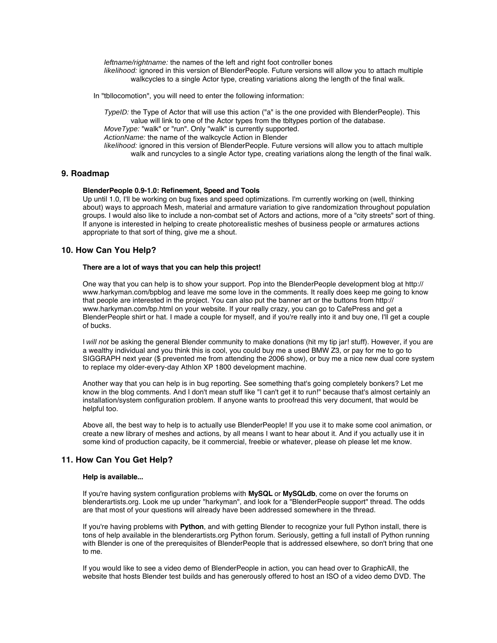leftname/rightname: the names of the left and right foot controller bones likelihood: ignored in this version of BlenderPeople. Future versions will allow you to attach multiple walkcycles to a single Actor type, creating variations along the length of the final walk.

In "tbllocomotion", you will need to enter the following information:

TypeID: the Type of Actor that will use this action ("a" is the one provided with BlenderPeople). This value will link to one of the Actor types from the tbltypes portion of the database. MoveType: "walk" or "run". Only "walk" is currently supported. ActionName: the name of the walkcycle Action in Blender likelihood: ignored in this version of BlenderPeople. Future versions will allow you to attach multiple walk and runcycles to a single Actor type, creating variations along the length of the final walk.

# **9. Roadmap**

#### **BlenderPeople 0.9-1.0: Refinement, Speed and Tools**

Up until 1.0, I'll be working on bug fixes and speed optimizations. I'm currently working on (well, thinking about) ways to approach Mesh, material and armature variation to give randomization throughout population groups. I would also like to include a non-combat set of Actors and actions, more of a "city streets" sort of thing. If anyone is interested in helping to create photorealistic meshes of business people or armatures actions appropriate to that sort of thing, give me a shout.

# **10. How Can You Help?**

#### **There are a lot of ways that you can help this project!**

One way that you can help is to show your support. Pop into the BlenderPeople development blog at http:// www.harkyman.com/bpblog and leave me some love in the comments. It really does keep me going to know that people are interested in the project. You can also put the banner art or the buttons from http:// www.harkyman.com/bp.html on your website. If your really crazy, you can go to CafePress and get a BlenderPeople shirt or hat. I made a couple for myself, and if you're really into it and buy one, I'll get a couple of bucks.

I will not be asking the general Blender community to make donations (hit my tip jar! stuff). However, if you are a wealthy individual and you think this is cool, you could buy me a used BMW Z3, or pay for me to go to SIGGRAPH next year (\$ prevented me from attending the 2006 show), or buy me a nice new dual core system to replace my older-every-day Athlon XP 1800 development machine.

Another way that you can help is in bug reporting. See something that's going completely bonkers? Let me know in the blog comments. And I don't mean stuff like "I can't get it to run!" because that's almost certainly an installation/system configuration problem. If anyone wants to proofread this very document, that would be helpful too.

Above all, the best way to help is to actually use BlenderPeople! If you use it to make some cool animation, or create a new library of meshes and actions, by all means I want to hear about it. And if you actually use it in some kind of production capacity, be it commercial, freebie or whatever, please oh please let me know.

# **11. How Can You Get Help?**

#### **Help is available...**

If you're having system configuration problems with **MySQL** or **MySQLdb**, come on over the forums on blenderartists.org. Look me up under "harkyman", and look for a "BlenderPeople support" thread. The odds are that most of your questions will already have been addressed somewhere in the thread.

If you're having problems with **Python**, and with getting Blender to recognize your full Python install, there is tons of help available in the blenderartists.org Python forum. Seriously, getting a full install of Python running with Blender is one of the prerequisites of BlenderPeople that is addressed elsewhere, so don't bring that one to me.

If you would like to see a video demo of BlenderPeople in action, you can head over to GraphicAll, the website that hosts Blender test builds and has generously offered to host an ISO of a video demo DVD. The